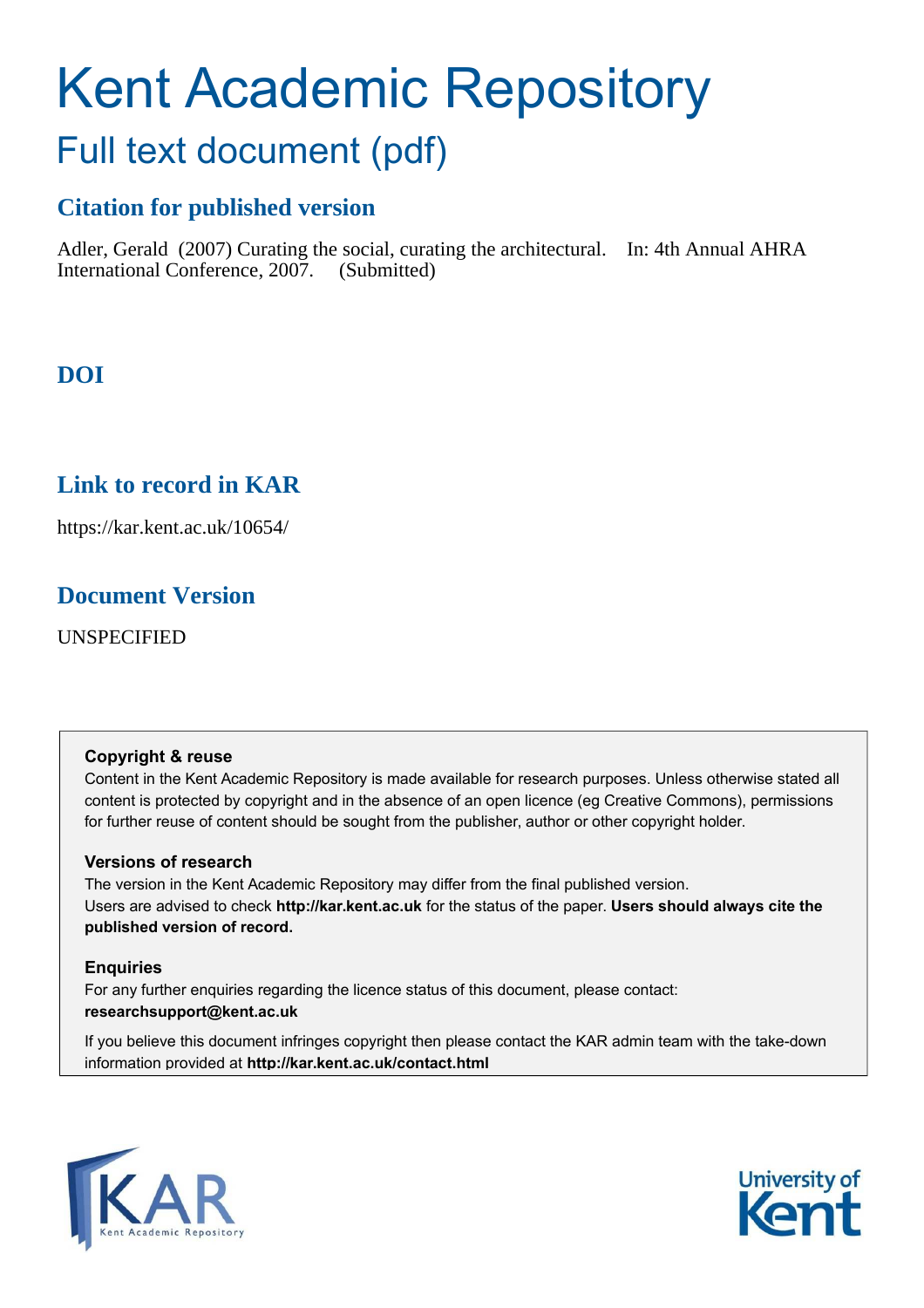# Kent Academic Repository

# Full text document (pdf)

# **Citation for published version**

Adler, Gerald (2007) Curating the social, curating the architectural. In: 4th Annual AHRA International Conference, 2007. (Submitted)

# **DOI**

# **Link to record in KAR**

https://kar.kent.ac.uk/10654/

## **Document Version**

UNSPECIFIED

#### **Copyright & reuse**

Content in the Kent Academic Repository is made available for research purposes. Unless otherwise stated all content is protected by copyright and in the absence of an open licence (eg Creative Commons), permissions for further reuse of content should be sought from the publisher, author or other copyright holder.

#### **Versions of research**

The version in the Kent Academic Repository may differ from the final published version. Users are advised to check **http://kar.kent.ac.uk** for the status of the paper. **Users should always cite the published version of record.**

#### **Enquiries**

For any further enquiries regarding the licence status of this document, please contact: **researchsupport@kent.ac.uk**

If you believe this document infringes copyright then please contact the KAR admin team with the take-down information provided at **http://kar.kent.ac.uk/contact.html**



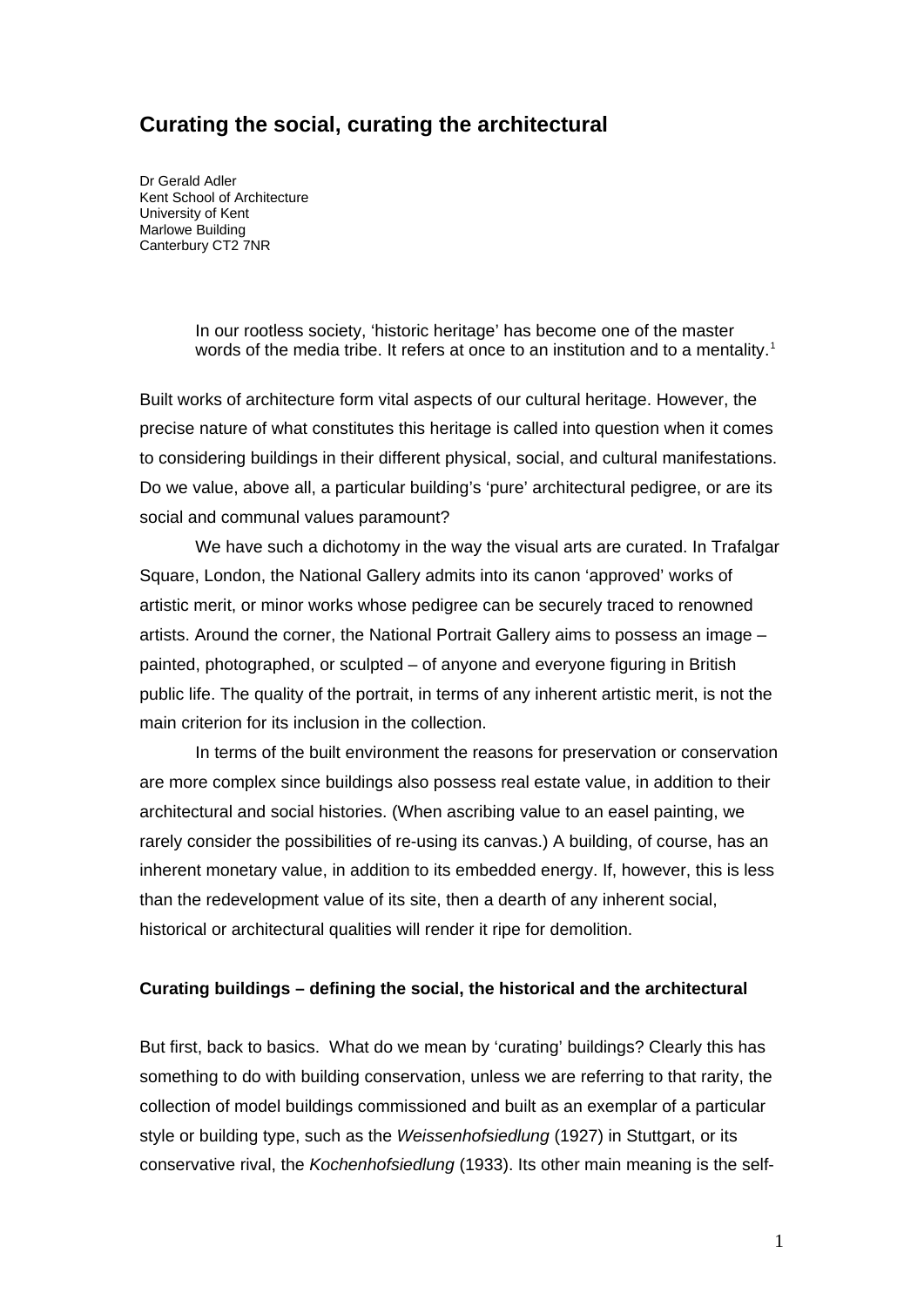#### **Curating the social, curating the architectural**

Dr Gerald Adler Kent School of Architecture University of Kent Marlowe Building Canterbury CT2 7NR

> In our rootless society, 'historic heritage' has become one of the master words of the media tribe. It refers at once to an institution and to a mentality.<sup>[1](#page-13-0)</sup>

Built works of architecture form vital aspects of our cultural heritage. However, the precise nature of what constitutes this heritage is called into question when it comes to considering buildings in their different physical, social, and cultural manifestations. Do we value, above all, a particular building's 'pure' architectural pedigree, or are its social and communal values paramount?

We have such a dichotomy in the way the visual arts are curated. In Trafalgar Square, London, the National Gallery admits into its canon 'approved' works of artistic merit, or minor works whose pedigree can be securely traced to renowned artists. Around the corner, the National Portrait Gallery aims to possess an image – painted, photographed, or sculpted – of anyone and everyone figuring in British public life. The quality of the portrait, in terms of any inherent artistic merit, is not the main criterion for its inclusion in the collection.

In terms of the built environment the reasons for preservation or conservation are more complex since buildings also possess real estate value, in addition to their architectural and social histories. (When ascribing value to an easel painting, we rarely consider the possibilities of re-using its canvas.) A building, of course, has an inherent monetary value, in addition to its embedded energy. If, however, this is less than the redevelopment value of its site, then a dearth of any inherent social, historical or architectural qualities will render it ripe for demolition.

#### **Curating buildings – defining the social, the historical and the architectural**

But first, back to basics. What do we mean by 'curating' buildings? Clearly this has something to do with building conservation, unless we are referring to that rarity, the collection of model buildings commissioned and built as an exemplar of a particular style or building type, such as the Weissenhofsiedlung (1927) in Stuttgart, or its conservative rival, the Kochenhofsiedlung (1933). Its other main meaning is the self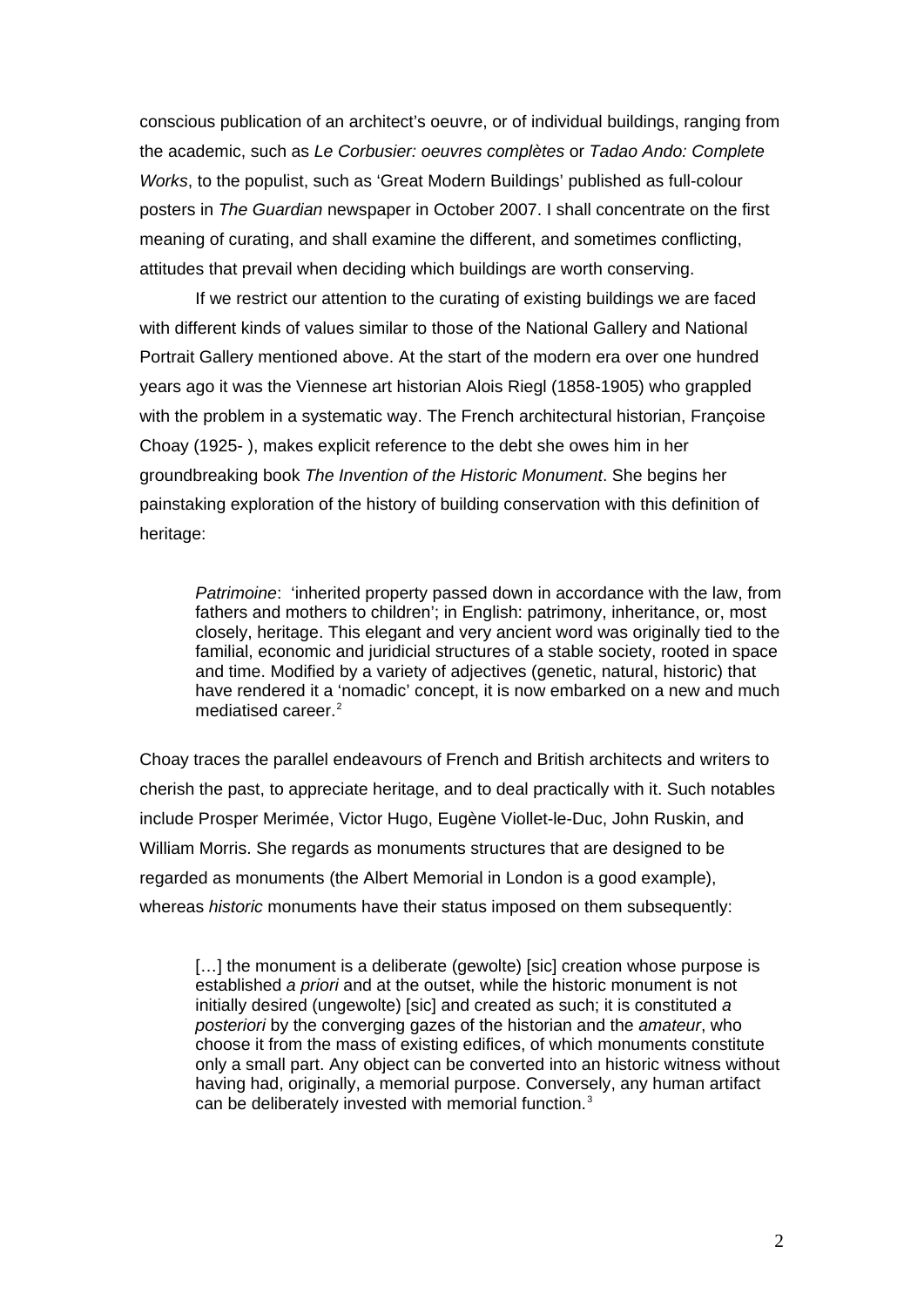conscious publication of an architect's oeuvre, or of individual buildings, ranging from the academic, such as Le Corbusier: oeuvres complètes or Tadao Ando: Complete Works, to the populist, such as 'Great Modern Buildings' published as full-colour posters in The Guardian newspaper in October 2007. I shall concentrate on the first meaning of curating, and shall examine the different, and sometimes conflicting, attitudes that prevail when deciding which buildings are worth conserving.

 If we restrict our attention to the curating of existing buildings we are faced with different kinds of values similar to those of the National Gallery and National Portrait Gallery mentioned above. At the start of the modern era over one hundred years ago it was the Viennese art historian Alois Riegl (1858-1905) who grappled with the problem in a systematic way. The French architectural historian, Françoise Choay (1925- ), makes explicit reference to the debt she owes him in her groundbreaking book The Invention of the Historic Monument. She begins her painstaking exploration of the history of building conservation with this definition of heritage:

Patrimoine: 'inherited property passed down in accordance with the law, from fathers and mothers to children'; in English: patrimony, inheritance, or, most closely, heritage. This elegant and very ancient word was originally tied to the familial, economic and juridicial structures of a stable society, rooted in space and time. Modified by a variety of adjectives (genetic, natural, historic) that have rendered it a 'nomadic' concept, it is now embarked on a new and much mediatised career.<sup>[2](#page-13-1)</sup>

Choay traces the parallel endeavours of French and British architects and writers to cherish the past, to appreciate heritage, and to deal practically with it. Such notables include Prosper Merimée, Victor Hugo, Eugène Viollet-le-Duc, John Ruskin, and William Morris. She regards as monuments structures that are designed to be regarded as monuments (the Albert Memorial in London is a good example), whereas historic monuments have their status imposed on them subsequently:

[...] the monument is a deliberate (gewolte) [sic] creation whose purpose is established a priori and at the outset, while the historic monument is not initially desired (ungewolte) [sic] and created as such; it is constituted a posteriori by the converging gazes of the historian and the amateur, who choose it from the mass of existing edifices, of which monuments constitute only a small part. Any object can be converted into an historic witness without having had, originally, a memorial purpose. Conversely, any human artifact can be deliberately invested with memorial function.[3](#page-13-1)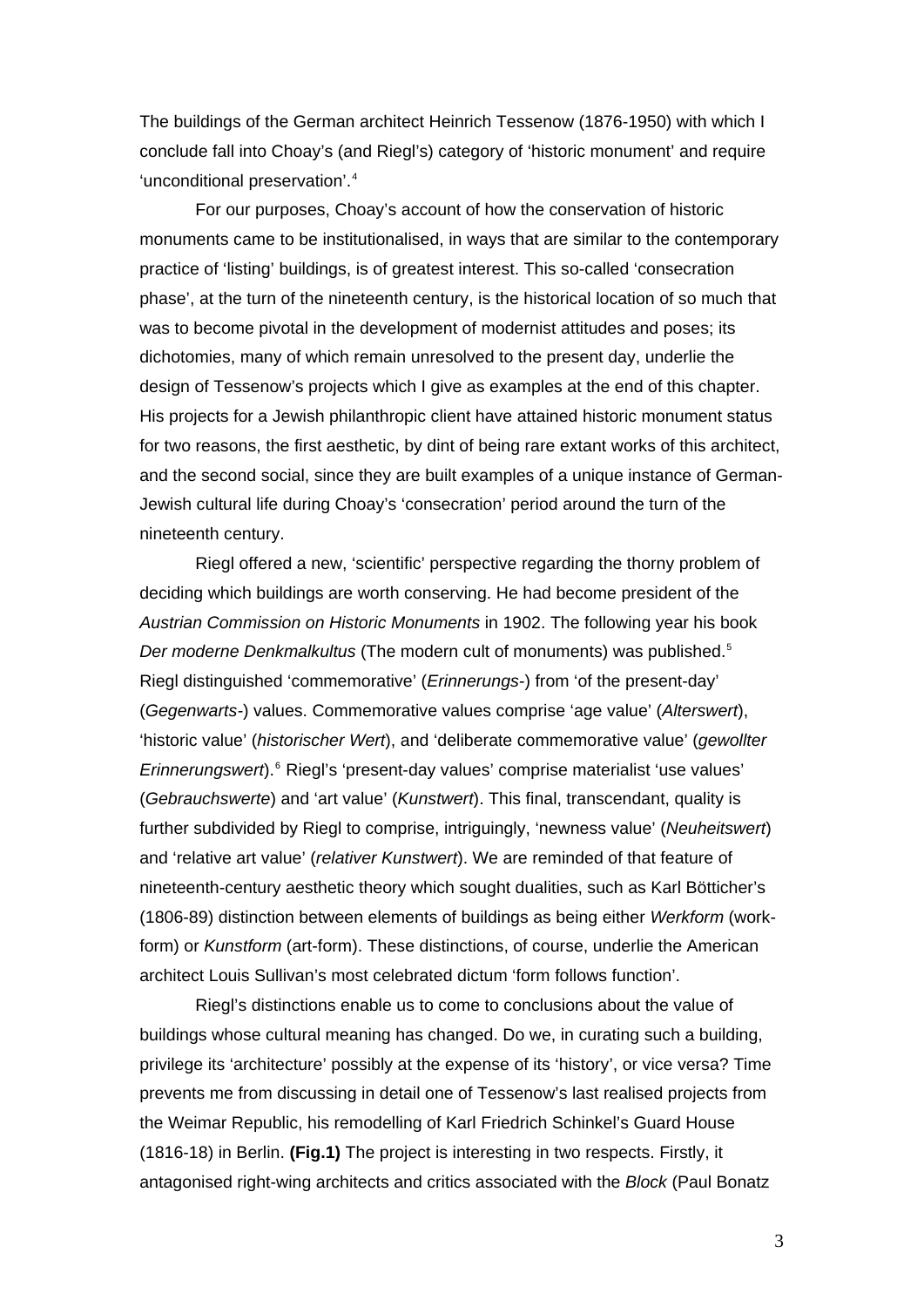The buildings of the German architect Heinrich Tessenow (1876-1950) with which I conclude fall into Choay's (and Riegl's) category of 'historic monument' and require 'unconditional preservation'.<sup>[4](#page-13-1)</sup>

For our purposes, Choay's account of how the conservation of historic monuments came to be institutionalised, in ways that are similar to the contemporary practice of 'listing' buildings, is of greatest interest. This so-called 'consecration phase', at the turn of the nineteenth century, is the historical location of so much that was to become pivotal in the development of modernist attitudes and poses; its dichotomies, many of which remain unresolved to the present day, underlie the design of Tessenow's projects which I give as examples at the end of this chapter. His projects for a Jewish philanthropic client have attained historic monument status for two reasons, the first aesthetic, by dint of being rare extant works of this architect, and the second social, since they are built examples of a unique instance of German-Jewish cultural life during Choay's 'consecration' period around the turn of the nineteenth century.

Riegl offered a new, 'scientific' perspective regarding the thorny problem of deciding which buildings are worth conserving. He had become president of the Austrian Commission on Historic Monuments in 1902. The following year his book Der moderne Denkmalkultus (The modern cult of monuments) was published.<sup>[5](#page-13-1)</sup> Riegl distinguished 'commemorative' (Erinnerungs-) from 'of the present-day' (Gegenwarts-) values. Commemorative values comprise 'age value' (Alterswert), 'historic value' (historischer Wert), and 'deliberate commemorative value' (gewollter Erinnerungswert).<sup>[6](#page-13-1)</sup> Riegl's 'present-day values' comprise materialist 'use values' (Gebrauchswerte) and 'art value' (Kunstwert). This final, transcendant, quality is further subdivided by Riegl to comprise, intriguingly, 'newness value' (Neuheitswert) and 'relative art value' (relativer Kunstwert). We are reminded of that feature of nineteenth-century aesthetic theory which sought dualities, such as Karl Bötticher's (1806-89) distinction between elements of buildings as being either Werkform (workform) or Kunstform (art-form). These distinctions, of course, underlie the American architect Louis Sullivan's most celebrated dictum 'form follows function'.

Riegl's distinctions enable us to come to conclusions about the value of buildings whose cultural meaning has changed. Do we, in curating such a building, privilege its 'architecture' possibly at the expense of its 'history', or vice versa? Time prevents me from discussing in detail one of Tessenow's last realised projects from the Weimar Republic, his remodelling of Karl Friedrich Schinkel's Guard House (1816-18) in Berlin. **(Fig.1)** The project is interesting in two respects. Firstly, it antagonised right-wing architects and critics associated with the Block (Paul Bonatz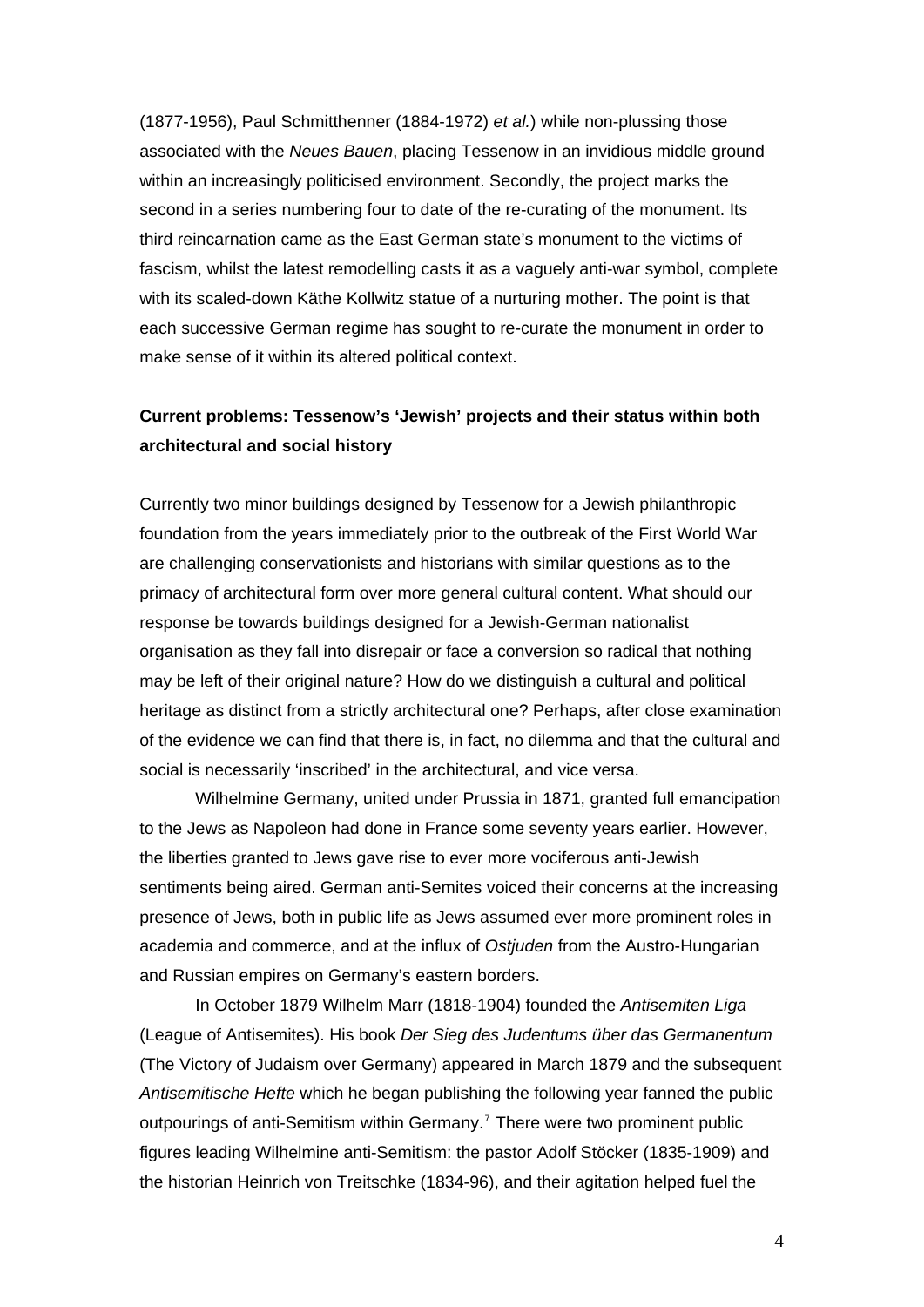(1877-1956), Paul Schmitthenner (1884-1972) et al.) while non-plussing those associated with the Neues Bauen, placing Tessenow in an invidious middle ground within an increasingly politicised environment. Secondly, the project marks the second in a series numbering four to date of the re-curating of the monument. Its third reincarnation came as the East German state's monument to the victims of fascism, whilst the latest remodelling casts it as a vaguely anti-war symbol, complete with its scaled-down Käthe Kollwitz statue of a nurturing mother. The point is that each successive German regime has sought to re-curate the monument in order to make sense of it within its altered political context.

#### **Current problems: Tessenow's 'Jewish' projects and their status within both architectural and social history**

Currently two minor buildings designed by Tessenow for a Jewish philanthropic foundation from the years immediately prior to the outbreak of the First World War are challenging conservationists and historians with similar questions as to the primacy of architectural form over more general cultural content. What should our response be towards buildings designed for a Jewish-German nationalist organisation as they fall into disrepair or face a conversion so radical that nothing may be left of their original nature? How do we distinguish a cultural and political heritage as distinct from a strictly architectural one? Perhaps, after close examination of the evidence we can find that there is, in fact, no dilemma and that the cultural and social is necessarily 'inscribed' in the architectural, and vice versa.

Wilhelmine Germany, united under Prussia in 1871, granted full emancipation to the Jews as Napoleon had done in France some seventy years earlier. However, the liberties granted to Jews gave rise to ever more vociferous anti-Jewish sentiments being aired. German anti-Semites voiced their concerns at the increasing presence of Jews, both in public life as Jews assumed ever more prominent roles in academia and commerce, and at the influx of Ostjuden from the Austro-Hungarian and Russian empires on Germany's eastern borders.

In October 1879 Wilhelm Marr (1818-1904) founded the Antisemiten Liga (League of Antisemites). His book Der Sieg des Judentums über das Germanentum (The Victory of Judaism over Germany) appeared in March 1879 and the subsequent Antisemitische Hefte which he began publishing the following year fanned the public outpourings of anti-Semitism within Germany.<sup>[7](#page-13-1)</sup> There were two prominent public figures leading Wilhelmine anti-Semitism: the pastor Adolf Stöcker (1835-1909) and the historian Heinrich von Treitschke (1834-96), and their agitation helped fuel the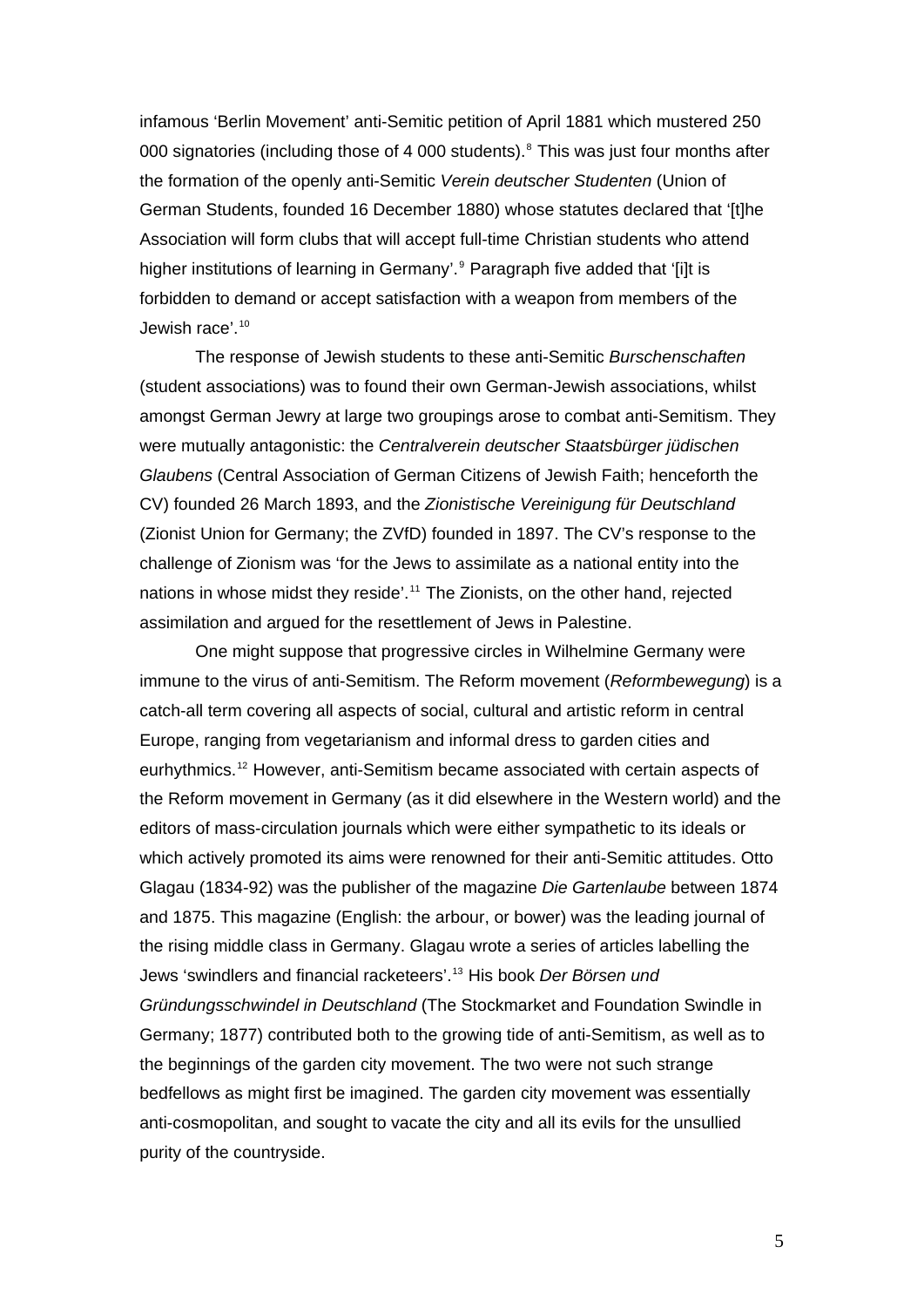infamous 'Berlin Movement' anti-Semitic petition of April 1881 which mustered 250 000 signatories (including those of 4 000 students). $8$  This was just four months after the formation of the openly anti-Semitic Verein deutscher Studenten (Union of German Students, founded 16 December 1880) whose statutes declared that '[t]he Association will form clubs that will accept full-time Christian students who attend higher institutions of learning in Germany'.<sup>[9](#page-13-1)</sup> Paragraph five added that '[i]t is forbidden to demand or accept satisfaction with a weapon from members of the Jewish race'.[10](#page-13-1)

The response of Jewish students to these anti-Semitic Burschenschaften (student associations) was to found their own German-Jewish associations, whilst amongst German Jewry at large two groupings arose to combat anti-Semitism. They were mutually antagonistic: the Centralverein deutscher Staatsbürger jüdischen Glaubens (Central Association of German Citizens of Jewish Faith; henceforth the CV) founded 26 March 1893, and the Zionistische Vereinigung für Deutschland (Zionist Union for Germany; the ZVfD) founded in 1897. The CV's response to the challenge of Zionism was 'for the Jews to assimilate as a national entity into the nations in whose midst they reside'.<sup>[11](#page-13-1)</sup> The Zionists, on the other hand, rejected assimilation and argued for the resettlement of Jews in Palestine.

One might suppose that progressive circles in Wilhelmine Germany were immune to the virus of anti-Semitism. The Reform movement (Reformbewegung) is a catch-all term covering all aspects of social, cultural and artistic reform in central Europe, ranging from vegetarianism and informal dress to garden cities and eurhythmics.[12](#page-13-1) However, anti-Semitism became associated with certain aspects of the Reform movement in Germany (as it did elsewhere in the Western world) and the editors of mass-circulation journals which were either sympathetic to its ideals or which actively promoted its aims were renowned for their anti-Semitic attitudes. Otto Glagau (1834-92) was the publisher of the magazine Die Gartenlaube between 1874 and 1875. This magazine (English: the arbour, or bower) was the leading journal of the rising middle class in Germany. Glagau wrote a series of articles labelling the Jews 'swindlers and financial racketeers'.<sup>[13](#page-13-1)</sup> His book Der Börsen und Gründungsschwindel in Deutschland (The Stockmarket and Foundation Swindle in Germany; 1877) contributed both to the growing tide of anti-Semitism, as well as to the beginnings of the garden city movement. The two were not such strange bedfellows as might first be imagined. The garden city movement was essentially anti-cosmopolitan, and sought to vacate the city and all its evils for the unsullied purity of the countryside.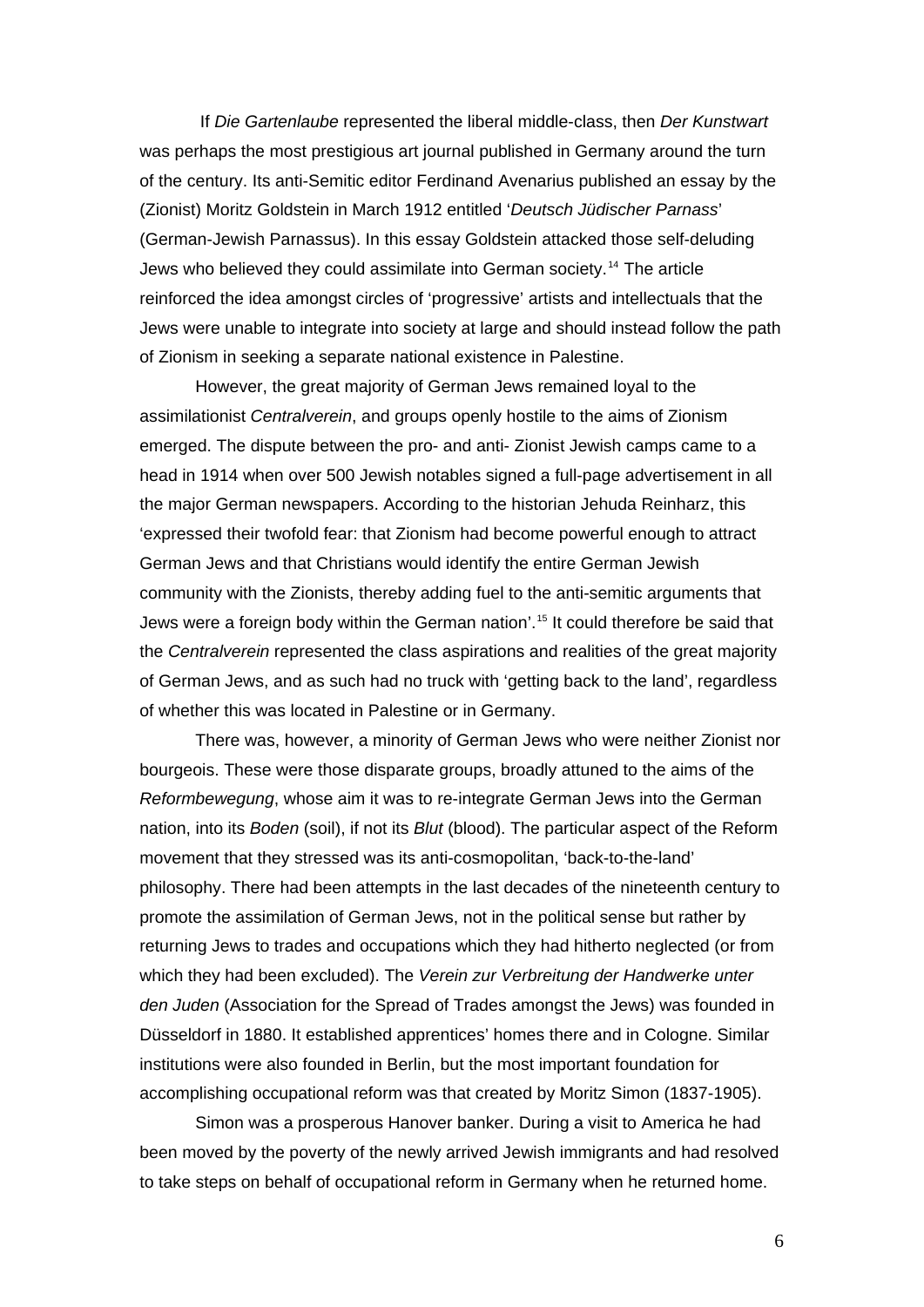If Die Gartenlaube represented the liberal middle-class, then Der Kunstwart was perhaps the most prestigious art journal published in Germany around the turn of the century. Its anti-Semitic editor Ferdinand Avenarius published an essay by the (Zionist) Moritz Goldstein in March 1912 entitled 'Deutsch Jüdischer Parnass' (German-Jewish Parnassus). In this essay Goldstein attacked those self-deluding Jews who believed they could assimilate into German society.[14](#page-13-1) The article reinforced the idea amongst circles of 'progressive' artists and intellectuals that the Jews were unable to integrate into society at large and should instead follow the path of Zionism in seeking a separate national existence in Palestine.

However, the great majority of German Jews remained loyal to the assimilationist Centralverein, and groups openly hostile to the aims of Zionism emerged. The dispute between the pro- and anti- Zionist Jewish camps came to a head in 1914 when over 500 Jewish notables signed a full-page advertisement in all the major German newspapers. According to the historian Jehuda Reinharz, this 'expressed their twofold fear: that Zionism had become powerful enough to attract German Jews and that Christians would identify the entire German Jewish community with the Zionists, thereby adding fuel to the anti-semitic arguments that Jews were a foreign body within the German nation'.<sup>[15](#page-13-1)</sup> It could therefore be said that the Centralverein represented the class aspirations and realities of the great majority of German Jews, and as such had no truck with 'getting back to the land', regardless of whether this was located in Palestine or in Germany.

There was, however, a minority of German Jews who were neither Zionist nor bourgeois. These were those disparate groups, broadly attuned to the aims of the Reformbewegung, whose aim it was to re-integrate German Jews into the German nation, into its Boden (soil), if not its Blut (blood). The particular aspect of the Reform movement that they stressed was its anti-cosmopolitan, 'back-to-the-land' philosophy. There had been attempts in the last decades of the nineteenth century to promote the assimilation of German Jews, not in the political sense but rather by returning Jews to trades and occupations which they had hitherto neglected (or from which they had been excluded). The Verein zur Verbreitung der Handwerke unter den Juden (Association for the Spread of Trades amongst the Jews) was founded in Düsseldorf in 1880. It established apprentices' homes there and in Cologne. Similar institutions were also founded in Berlin, but the most important foundation for accomplishing occupational reform was that created by Moritz Simon (1837-1905).

Simon was a prosperous Hanover banker. During a visit to America he had been moved by the poverty of the newly arrived Jewish immigrants and had resolved to take steps on behalf of occupational reform in Germany when he returned home.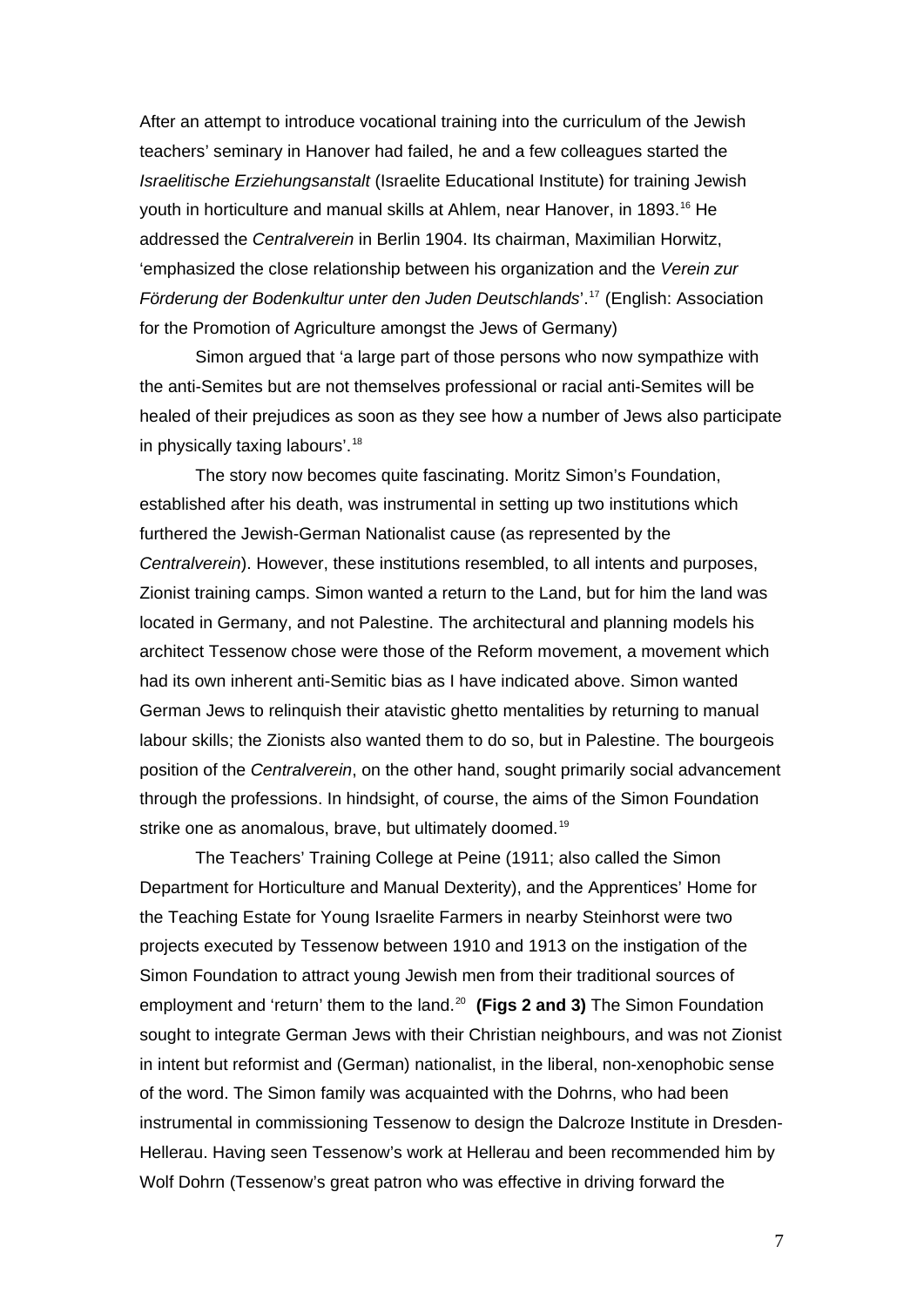After an attempt to introduce vocational training into the curriculum of the Jewish teachers' seminary in Hanover had failed, he and a few colleagues started the Israelitische Erziehungsanstalt (Israelite Educational Institute) for training Jewish youth in horticulture and manual skills at Ahlem, near Hanover, in 1893.<sup>[16](#page-13-1)</sup> He addressed the Centralverein in Berlin 1904. Its chairman, Maximilian Horwitz, 'emphasized the close relationship between his organization and the Verein zur Förderung der Bodenkultur unter den Juden Deutschlands'.<sup>[17](#page-13-1)</sup> (English: Association for the Promotion of Agriculture amongst the Jews of Germany)

Simon argued that 'a large part of those persons who now sympathize with the anti-Semites but are not themselves professional or racial anti-Semites will be healed of their prejudices as soon as they see how a number of Jews also participate in physically taxing labours'.<sup>[18](#page-13-1)</sup>

The story now becomes quite fascinating. Moritz Simon's Foundation, established after his death, was instrumental in setting up two institutions which furthered the Jewish-German Nationalist cause (as represented by the Centralverein). However, these institutions resembled, to all intents and purposes, Zionist training camps. Simon wanted a return to the Land, but for him the land was located in Germany, and not Palestine. The architectural and planning models his architect Tessenow chose were those of the Reform movement, a movement which had its own inherent anti-Semitic bias as I have indicated above. Simon wanted German Jews to relinquish their atavistic ghetto mentalities by returning to manual labour skills; the Zionists also wanted them to do so, but in Palestine. The bourgeois position of the Centralverein, on the other hand, sought primarily social advancement through the professions. In hindsight, of course, the aims of the Simon Foundation strike one as anomalous, brave, but ultimately doomed.<sup>[19](#page-13-1)</sup>

The Teachers' Training College at Peine (1911; also called the Simon Department for Horticulture and Manual Dexterity), and the Apprentices' Home for the Teaching Estate for Young Israelite Farmers in nearby Steinhorst were two projects executed by Tessenow between 1910 and 1913 on the instigation of the Simon Foundation to attract young Jewish men from their traditional sources of employment and 'return' them to the land.<sup>[20](#page-13-1)</sup> (Figs 2 and 3) The Simon Foundation sought to integrate German Jews with their Christian neighbours, and was not Zionist in intent but reformist and (German) nationalist, in the liberal, non-xenophobic sense of the word. The Simon family was acquainted with the Dohrns, who had been instrumental in commissioning Tessenow to design the Dalcroze Institute in Dresden-Hellerau. Having seen Tessenow's work at Hellerau and been recommended him by Wolf Dohrn (Tessenow's great patron who was effective in driving forward the

7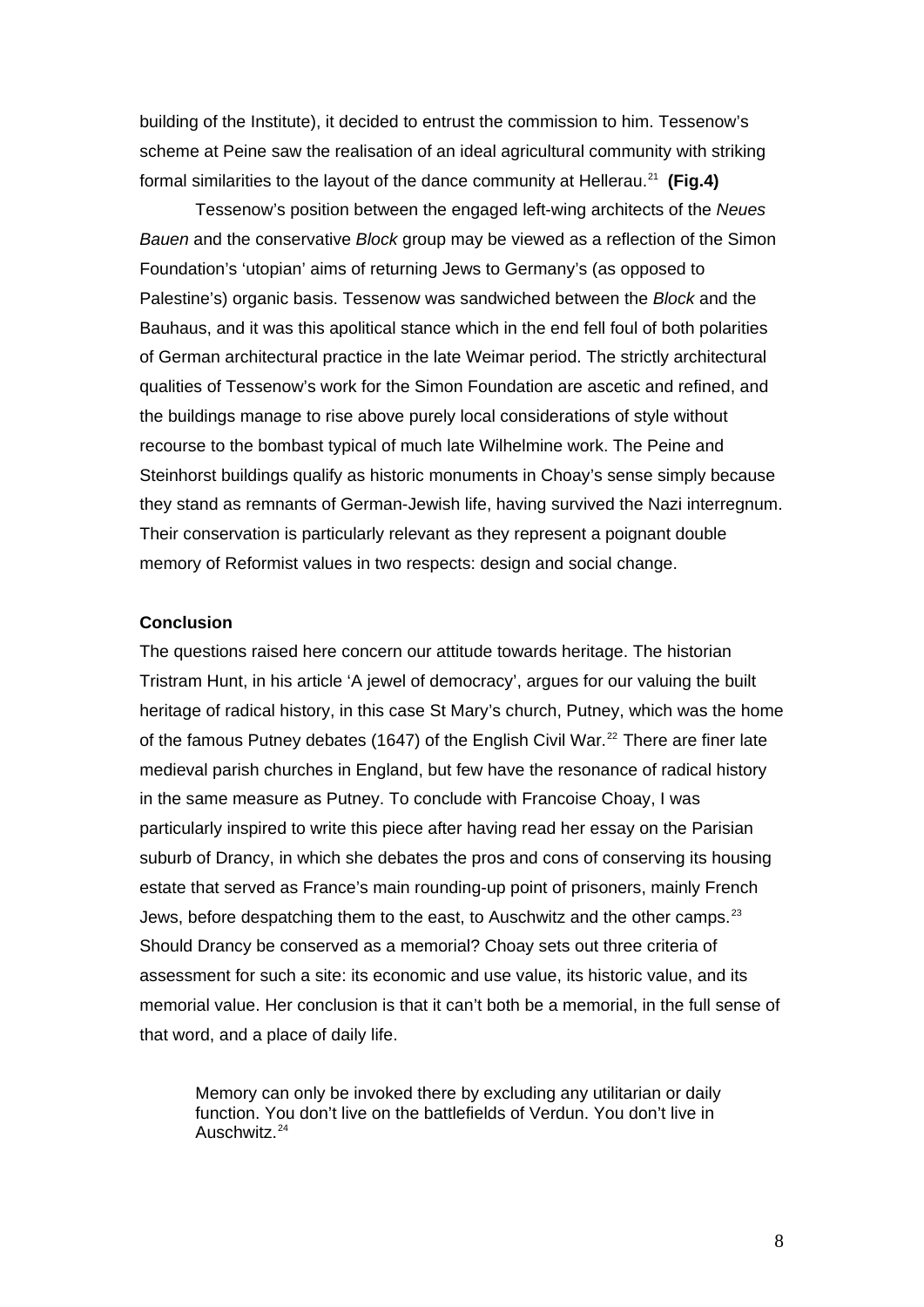building of the Institute), it decided to entrust the commission to him. Tessenow's scheme at Peine saw the realisation of an ideal agricultural community with striking formal similarities to the layout of the dance community at Hellerau.[21](#page-13-1) **(Fig.4)**

Tessenow's position between the engaged left-wing architects of the Neues Bauen and the conservative Block group may be viewed as a reflection of the Simon Foundation's 'utopian' aims of returning Jews to Germany's (as opposed to Palestine's) organic basis. Tessenow was sandwiched between the Block and the Bauhaus, and it was this apolitical stance which in the end fell foul of both polarities of German architectural practice in the late Weimar period. The strictly architectural qualities of Tessenow's work for the Simon Foundation are ascetic and refined, and the buildings manage to rise above purely local considerations of style without recourse to the bombast typical of much late Wilhelmine work. The Peine and Steinhorst buildings qualify as historic monuments in Choay's sense simply because they stand as remnants of German-Jewish life, having survived the Nazi interregnum. Their conservation is particularly relevant as they represent a poignant double memory of Reformist values in two respects: design and social change.

#### **Conclusion**

The questions raised here concern our attitude towards heritage. The historian Tristram Hunt, in his article 'A jewel of democracy', argues for our valuing the built heritage of radical history, in this case St Mary's church, Putney, which was the home of the famous Putney debates (1647) of the English Civil War. $^{22}$  $^{22}$  $^{22}$  There are finer late medieval parish churches in England, but few have the resonance of radical history in the same measure as Putney. To conclude with Francoise Choay, I was particularly inspired to write this piece after having read her essay on the Parisian suburb of Drancy, in which she debates the pros and cons of conserving its housing estate that served as France's main rounding-up point of prisoners, mainly French Jews, before despatching them to the east, to Auschwitz and the other camps.<sup>[23](#page-13-1)</sup> Should Drancy be conserved as a memorial? Choay sets out three criteria of assessment for such a site: its economic and use value, its historic value, and its memorial value. Her conclusion is that it can't both be a memorial, in the full sense of that word, and a place of daily life.

Memory can only be invoked there by excluding any utilitarian or daily function. You don't live on the battlefields of Verdun. You don't live in Auschwitz.<sup>[24](#page-13-1)</sup>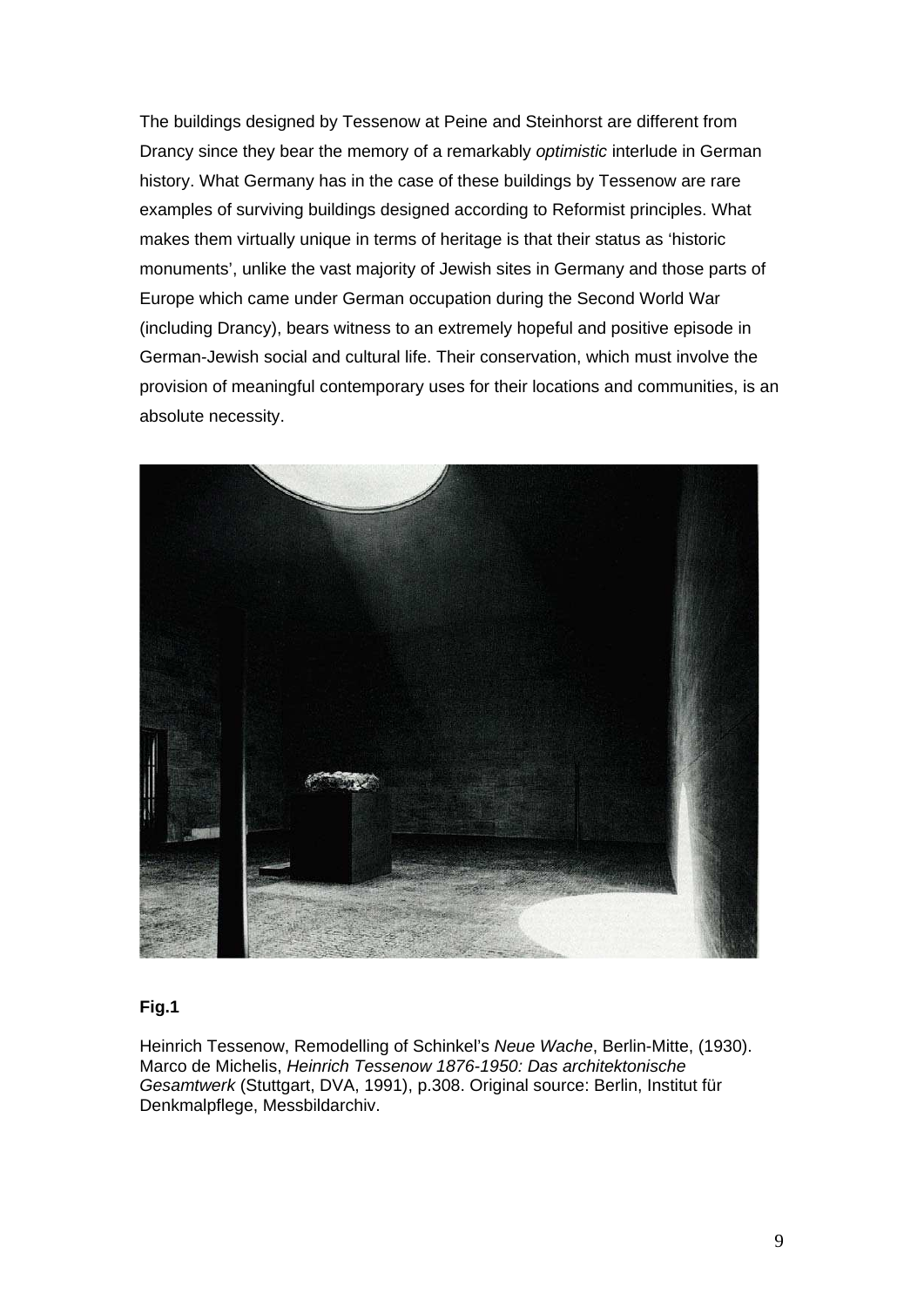The buildings designed by Tessenow at Peine and Steinhorst are different from Drancy since they bear the memory of a remarkably optimistic interlude in German history. What Germany has in the case of these buildings by Tessenow are rare examples of surviving buildings designed according to Reformist principles. What makes them virtually unique in terms of heritage is that their status as 'historic monuments', unlike the vast majority of Jewish sites in Germany and those parts of Europe which came under German occupation during the Second World War (including Drancy), bears witness to an extremely hopeful and positive episode in German-Jewish social and cultural life. Their conservation, which must involve the provision of meaningful contemporary uses for their locations and communities, is an absolute necessity.



#### **Fig.1**

Heinrich Tessenow, Remodelling of Schinkel's Neue Wache, Berlin-Mitte, (1930). Marco de Michelis, Heinrich Tessenow 1876-1950: Das architektonische Gesamtwerk (Stuttgart, DVA, 1991), p.308. Original source: Berlin, Institut für Denkmalpflege, Messbildarchiv.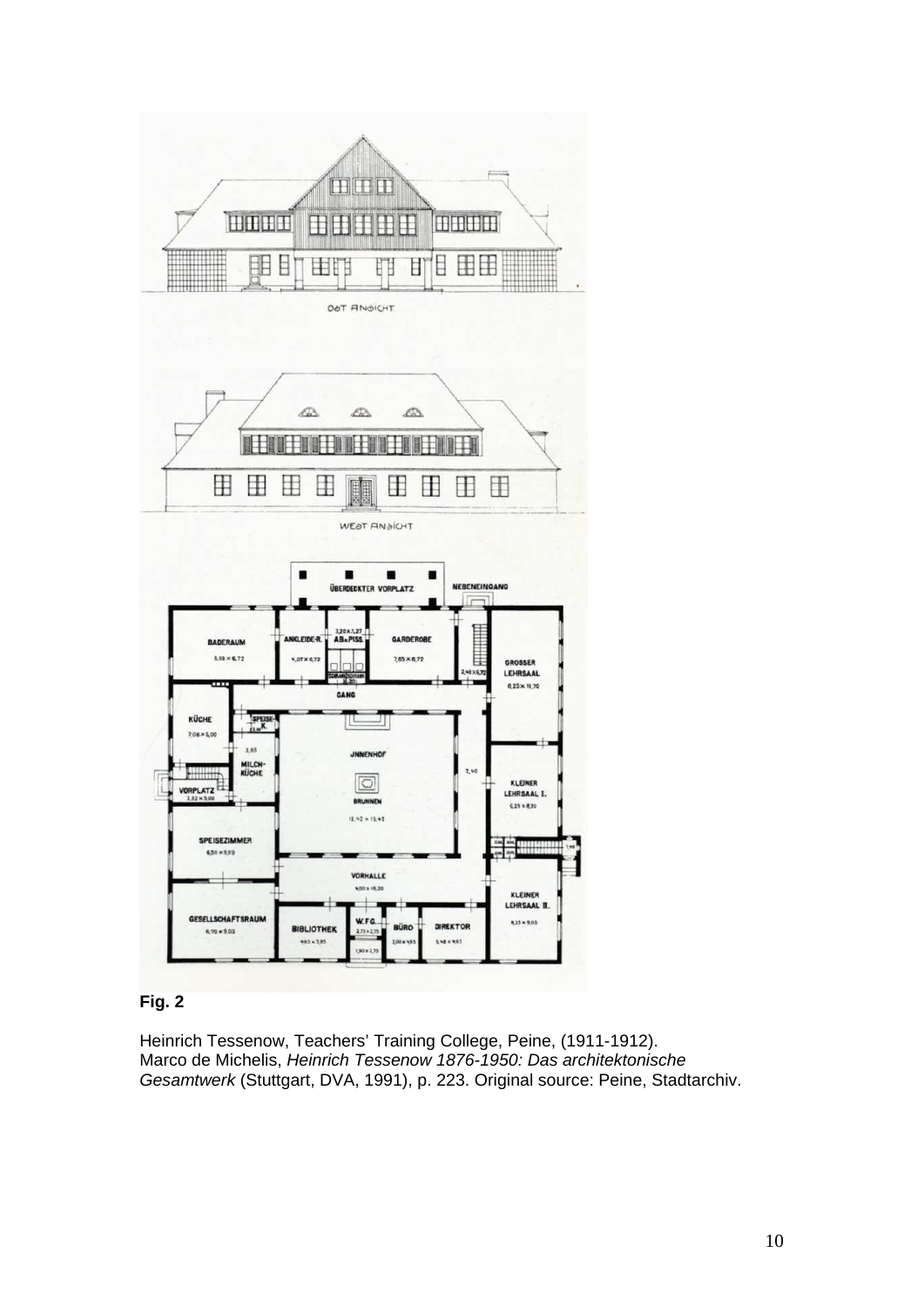

#### **Fig. 2**

Heinrich Tessenow, Teachers' Training College, Peine, (1911-1912). Marco de Michelis, Heinrich Tessenow 1876-1950: Das architektonische Gesamtwerk (Stuttgart, DVA, 1991), p. 223. Original source: Peine, Stadtarchiv.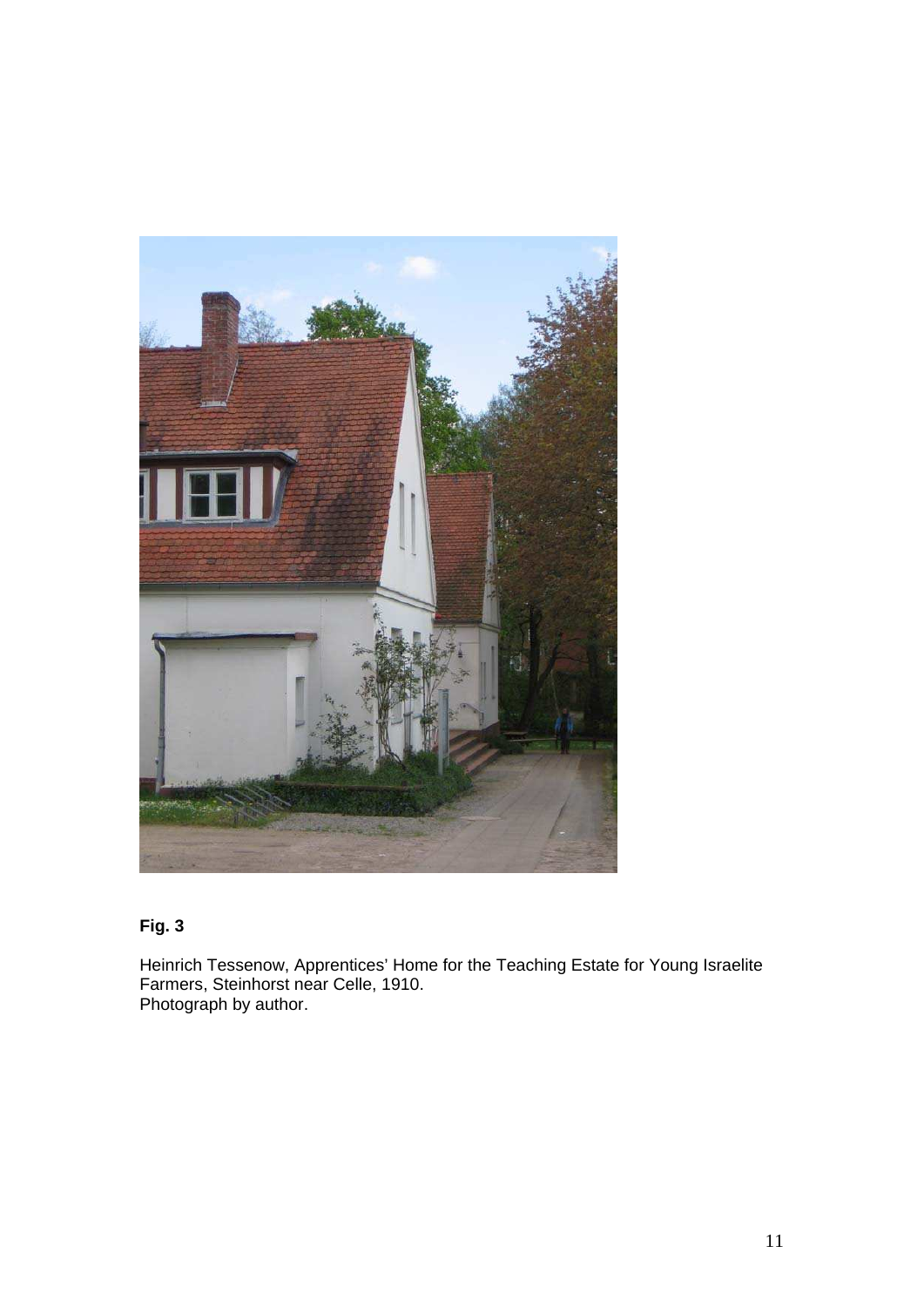

### **Fig. 3**

Heinrich Tessenow, Apprentices' Home for the Teaching Estate for Young Israelite Farmers, Steinhorst near Celle, 1910. Photograph by author.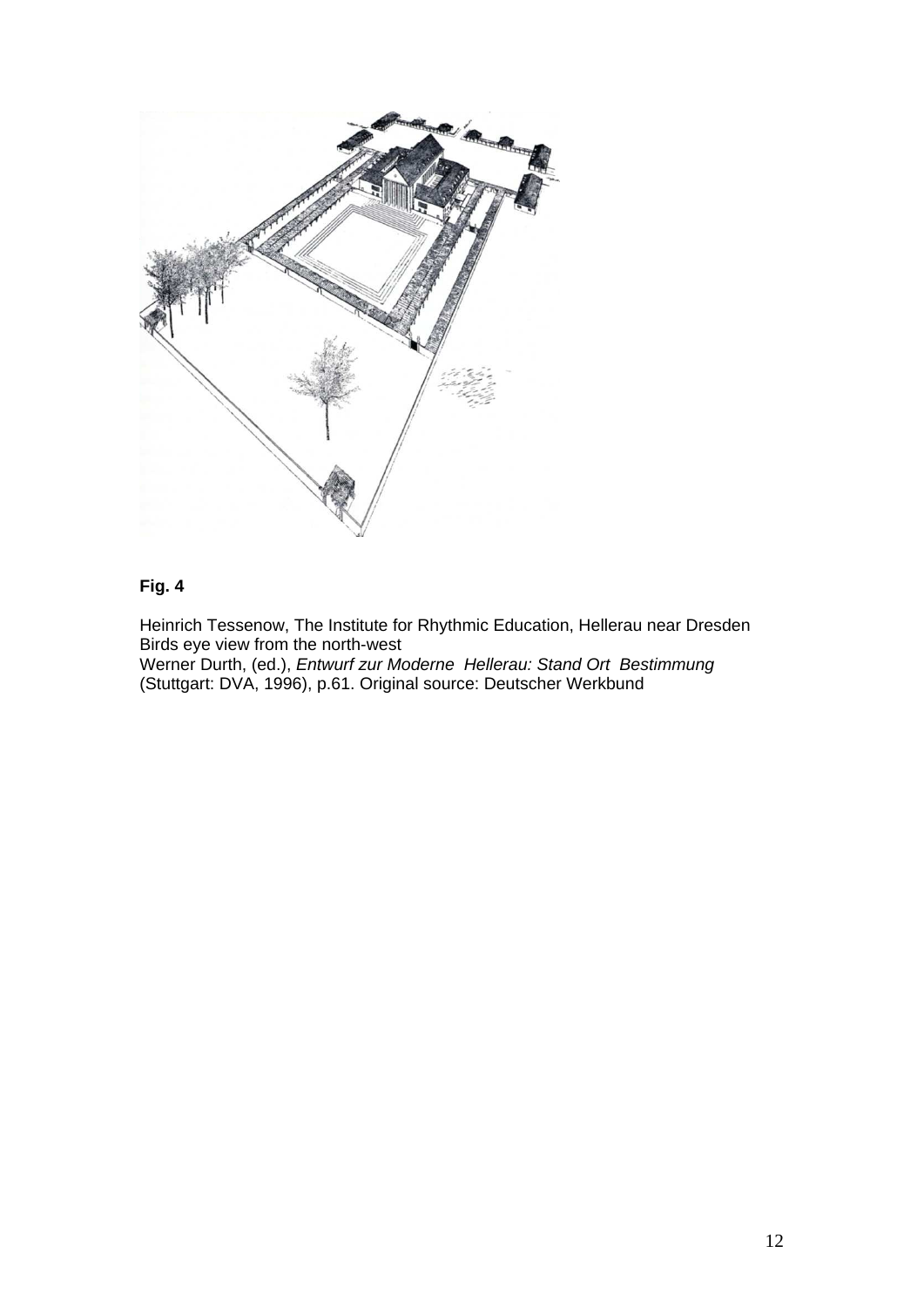

#### **Fig. 4**

Heinrich Tessenow, The Institute for Rhythmic Education, Hellerau near Dresden Birds eye view from the north-west Werner Durth, (ed.), Entwurf zur Moderne Hellerau: Stand Ort Bestimmung (Stuttgart: DVA, 1996), p.61. Original source: Deutscher Werkbund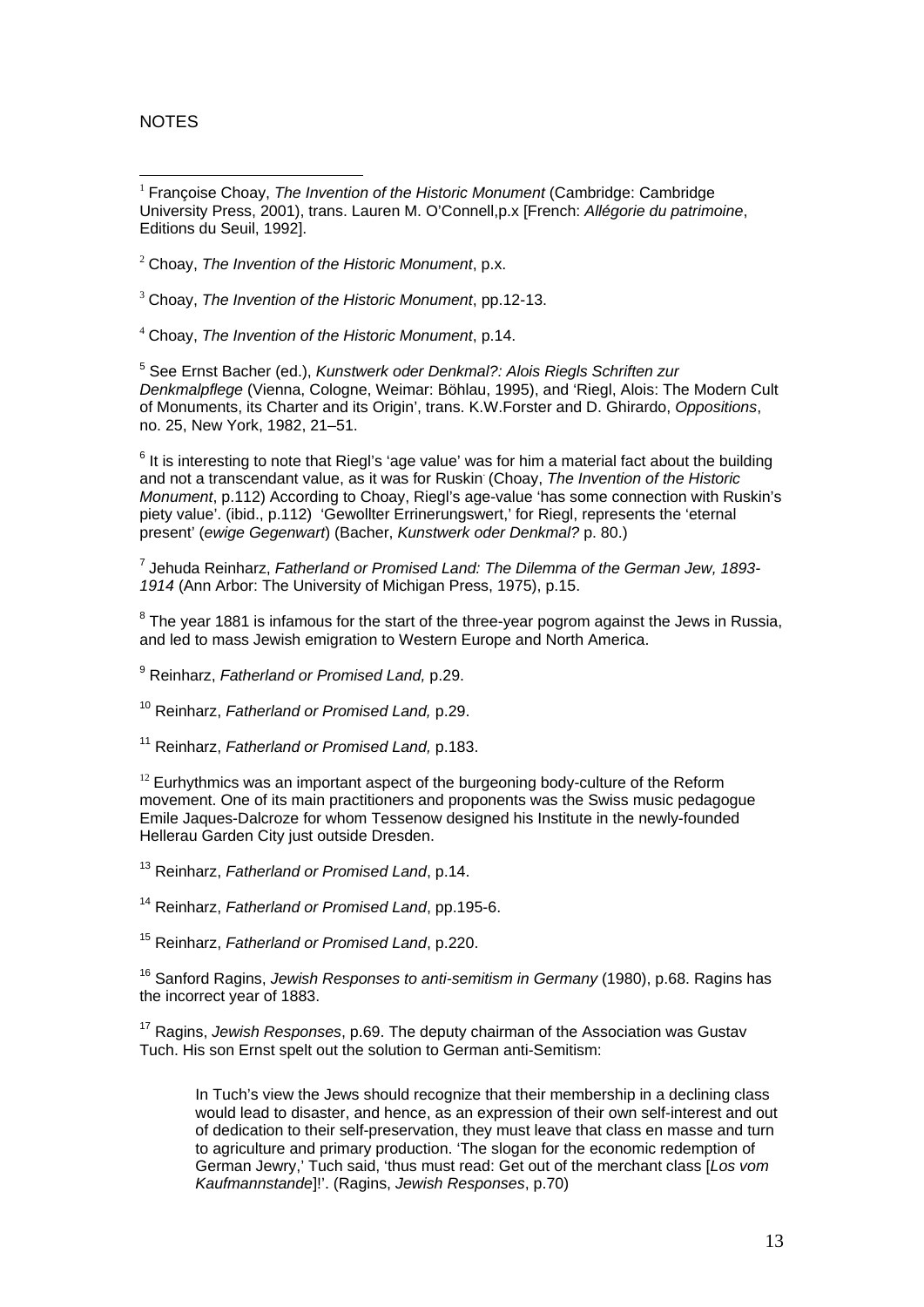#### <span id="page-13-1"></span>NOTES

 $2$  Choay, The Invention of the Historic Monument, p.x.

 $3$  Choay, The Invention of the Historic Monument, pp.12-13.

<sup>4</sup> Choay, The Invention of the Historic Monument, p.14.

<sup>5</sup> See Ernst Bacher (ed.), Kunstwerk oder Denkmal?: Alois Riegls Schriften zur Denkmalpflege (Vienna, Cologne, Weimar: Böhlau, 1995), and 'Riegl, Alois: The Modern Cult of Monuments, its Charter and its Origin', trans. K.W.Forster and D. Ghirardo, Oppositions, no. 25, New York, 1982, 21–51.

 $<sup>6</sup>$  It is interesting to note that Riegl's 'age value' was for him a material fact about the building</sup> and not a transcendant value, as it was for Ruskin (Choay, The Invention of the Historic Monument, p.112) According to Choay, Riegl's age-value 'has some connection with Ruskin's piety value'. (ibid., p.112) 'Gewollter Errinerungswert,' for Riegl, represents the 'eternal present' (ewige Gegenwart) (Bacher, Kunstwerk oder Denkmal? p. 80.)

<sup>7</sup> Jehuda Reinharz, Fatherland or Promised Land: The Dilemma of the German Jew, 1893-1914 (Ann Arbor: The University of Michigan Press, 1975), p.15.

 $8$  The year 1881 is infamous for the start of the three-year pogrom against the Jews in Russia, and led to mass Jewish emigration to Western Europe and North America.

<sup>9</sup> Reinharz, *Fatherland or Promised Land,* p.29.

<sup>10</sup> Reinharz, Fatherland or Promised Land, p.29.

<sup>11</sup> Reinharz, Fatherland or Promised Land, p.183.

 $12$  Eurhythmics was an important aspect of the burgeoning body-culture of the Reform movement. One of its main practitioners and proponents was the Swiss music pedagogue Emile Jaques-Dalcroze for whom Tessenow designed his Institute in the newly-founded Hellerau Garden City just outside Dresden.

<sup>13</sup> Reinharz, Fatherland or Promised Land, p.14.

<sup>14</sup> Reinharz, Fatherland or Promised Land, pp.195-6.

<sup>15</sup> Reinharz, Fatherland or Promised Land, p.220.

 $16$  Sanford Ragins, Jewish Responses to anti-semitism in Germany (1980), p.68. Ragins has the incorrect year of 1883.

<sup>17</sup> Ragins, Jewish Responses, p.69. The deputy chairman of the Association was Gustav Tuch. His son Ernst spelt out the solution to German anti-Semitism:

In Tuch's view the Jews should recognize that their membership in a declining class would lead to disaster, and hence, as an expression of their own self-interest and out of dedication to their self-preservation, they must leave that class en masse and turn to agriculture and primary production. 'The slogan for the economic redemption of German Jewry,' Tuch said, 'thus must read: Get out of the merchant class I Los vom Kaufmannstande]!'. (Ragins, Jewish Responses, p.70)

<span id="page-13-0"></span><sup>&</sup>lt;u>.</u> <sup>1</sup> Françoise Choay, The Invention of the Historic Monument (Cambridge: Cambridge University Press, 2001), trans. Lauren M. O'Connell,p.x [French: Allégorie du patrimoine, Editions du Seuil, 1992].